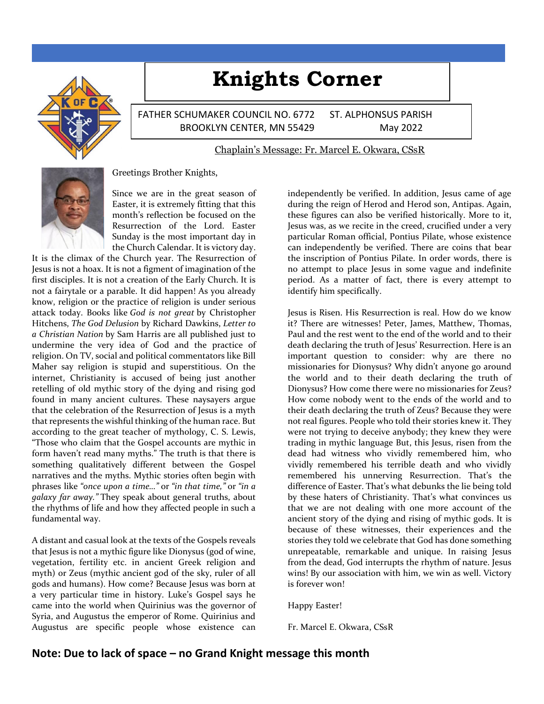

# **Knights Corner**

FATHER SCHUMAKER COUNCIL NO. 6772 ST. ALPHONSUS PARISH BROOKLYN CENTER, MN 55429 May 2022

#### Chaplain's Message: Fr. Marcel E. Okwara, CSsR



Greetings Brother Knights,

Since we are in the great season of Easter, it is extremely fitting that this month's reflection be focused on the Resurrection of the Lord. Easter Sunday is the most important day in the Church Calendar. It is victory day.

It is the climax of the Church year. The Resurrection of Jesus is not a hoax. It is not a figment of imagination of the first disciples. It is not a creation of the Early Church. It is not a fairytale or a parable. It did happen! As you already know, religion or the practice of religion is under serious attack today. Books like *God is not great* by Christopher Hitchens, *The God Delusion* by Richard Dawkins, *Letter to a Christian Nation* by Sam Harris are all published just to undermine the very idea of God and the practice of religion. On TV, social and political commentators like Bill Maher say religion is stupid and superstitious. On the internet, Christianity is accused of being just another retelling of old mythic story of the dying and rising god found in many ancient cultures. These naysayers argue that the celebration of the Resurrection of Jesus is a myth that represents the wishful thinking of the human race. But according to the great teacher of mythology, C. S. Lewis, "Those who claim that the Gospel accounts are mythic in form haven't read many myths." The truth is that there is something qualitatively different between the Gospel narratives and the myths. Mythic stories often begin with phrases like *"once upon a time…"* or *"in that time,"* or *"in a galaxy far away."* They speak about general truths, about the rhythms of life and how they affected people in such a fundamental way.

A distant and casual look at the texts of the Gospels reveals that Jesus is not a mythic figure like Dionysus (god of wine, vegetation, fertility etc. in ancient Greek religion and myth) or Zeus (mythic ancient god of the sky, ruler of all gods and humans). How come? Because Jesus was born at a very particular time in history. Luke's Gospel says he came into the world when Quirinius was the governor of Syria, and Augustus the emperor of Rome. Quirinius and Augustus are specific people whose existence can

independently be verified. In addition, Jesus came of age during the reign of Herod and Herod son, Antipas. Again, these figures can also be verified historically. More to it, Jesus was, as we recite in the creed, crucified under a very particular Roman official, Pontius Pilate, whose existence can independently be verified. There are coins that bear the inscription of Pontius Pilate. In order words, there is no attempt to place Jesus in some vague and indefinite period. As a matter of fact, there is every attempt to identify him specifically.

Jesus is Risen. His Resurrection is real. How do we know it? There are witnesses! Peter, James, Matthew, Thomas, Paul and the rest went to the end of the world and to their death declaring the truth of Jesus' Resurrection. Here is an important question to consider: why are there no missionaries for Dionysus? Why didn't anyone go around the world and to their death declaring the truth of Dionysus? How come there were no missionaries for Zeus? How come nobody went to the ends of the world and to their death declaring the truth of Zeus? Because they were not real figures. People who told their stories knew it. They were not trying to deceive anybody; they knew they were trading in mythic language But, this Jesus, risen from the dead had witness who vividly remembered him, who vividly remembered his terrible death and who vividly remembered his unnerving Resurrection. That's the difference of Easter. That's what debunks the lie being told by these haters of Christianity. That's what convinces us that we are not dealing with one more account of the ancient story of the dying and rising of mythic gods. It is because of these witnesses, their experiences and the stories they told we celebrate that God has done something unrepeatable, remarkable and unique. In raising Jesus from the dead, God interrupts the rhythm of nature. Jesus wins! By our association with him, we win as well. Victory is forever won!

Happy Easter!

Fr. Marcel E. Okwara, CSsR

#### **Note: Due to lack of space – no Grand Knight message this month**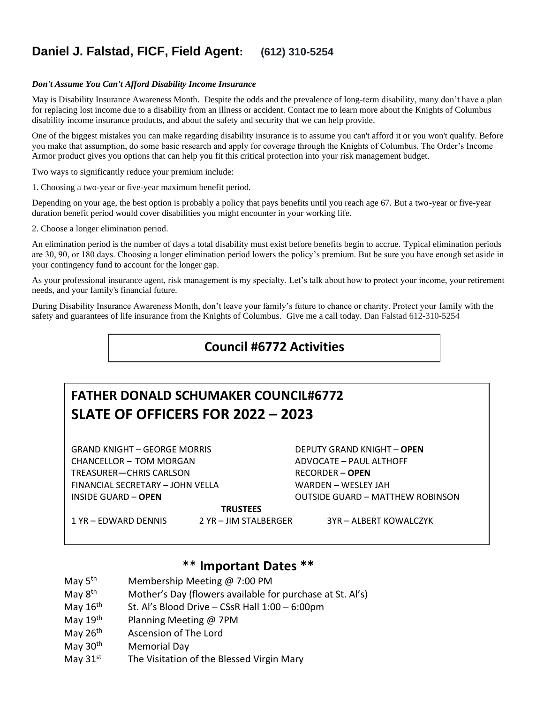## **Daniel J. Falstad, FICF, Field Agent: (612) 310-5254**

#### *Don't Assume You Can't Afford Disability Income Insurance*

May is Disability Insurance Awareness Month. Despite the odds and the prevalence of long-term disability, many don't have a plan for replacing lost income due to a disability from an illness or accident. Contact me to learn more about the Knights of Columbus disability income insurance products, and about the safety and security that we can help provide.

One of the biggest mistakes you can make regarding disability insurance is to assume you can't afford it or you won't qualify. Before you make that assumption, do some basic research and apply for coverage through the Knights of Columbus. The Order's Income Armor product gives you options that can help you fit this critical protection into your risk management budget.

Two ways to significantly reduce your premium include:

1. Choosing a two-year or five-year maximum benefit period.

Depending on your age, the best option is probably a policy that pays benefits until you reach age 67. But a two-year or five-year duration benefit period would cover disabilities you might encounter in your working life.

2. Choose a longer elimination period.

An elimination period is the number of days a total disability must exist before benefits begin to accrue. Typical elimination periods are 30, 90, or 180 days. Choosing a longer elimination period lowers the policy's premium. But be sure you have enough set aside in your contingency fund to account for the longer gap.

As your professional insurance agent, risk management is my specialty. Let's talk about how to protect your income, your retirement needs, and your family's financial future.

During Disability Insurance Awareness Month, don't leave your family's future to chance or charity. Protect your family with the safety and guarantees of life insurance from the Knights of Columbus. Give me a call today. Dan Falstad 612-310-5254

## **Council #6772 Activities**

# **FATHER DONALD SCHUMAKER COUNCIL#6772 SLATE OF OFFICERS FOR 2022 – 2023**

GRAND KNIGHT – GEORGE MORRIS DEPUTY GRAND KNIGHT – **OPEN** CHANCELLOR – TOM MORGAN ADVOCATE – PAUL ALTHOFF TREASURER—CHRIS CARLSON RECORDER – **OPEN** FINANCIAL SECRETARY – JOHN VELLA WARDEN – WESLEY JAH

INSIDE GUARD – **OPEN** OUTSIDE GUARD – MATTHEW ROBINSON

**TRUSTEES**

1 YR – EDWARD DENNIS 2 YR – JIM STALBERGER 3YR – ALBERT KOWALCZYK

#### \*\* **Important Dates \*\***

- May  $5<sup>th</sup>$  Membership Meeting @ 7:00 PM
- May  $8<sup>th</sup>$  Mother's Day (flowers available for purchase at St. Al's)
- May  $16<sup>th</sup>$  St. Al's Blood Drive CSsR Hall  $1:00 6:00$ pm
- May  $19^{th}$  Planning Meeting @ 7PM
- May 26<sup>th</sup> Ascension of The Lord
- May 30<sup>th</sup> Memorial Day
- May 31<sup>st</sup> The Visitation of the Blessed Virgin Mary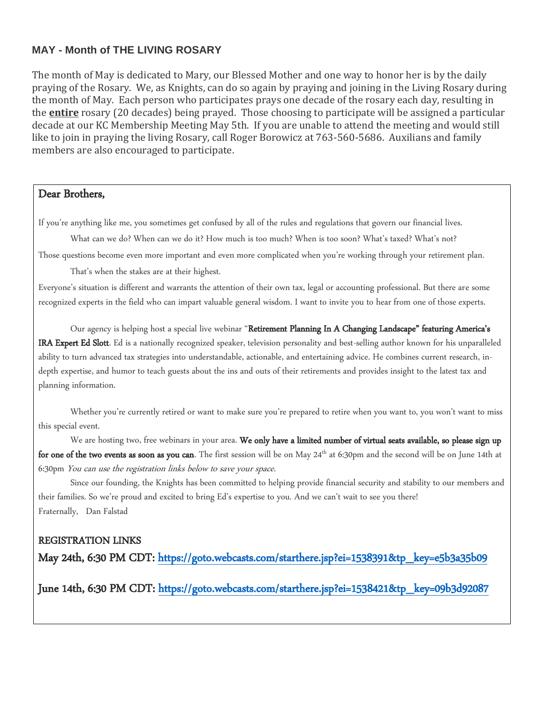#### **MAY - Month of THE LIVING ROSARY**

The month of May is dedicated to Mary, our Blessed Mother and one way to honor her is by the daily praying of the Rosary. We, as Knights, can do so again by praying and joining in the Living Rosary during the month of May. Each person who participates prays one decade of the rosary each day, resulting in the **entire** rosary (20 decades) being prayed. Those choosing to participate will be assigned a particular decade at our KC Membership Meeting May 5th. If you are unable to attend the meeting and would still like to join in praying the living Rosary, call Roger Borowicz at 763-560-5686. Auxilians and family members are also encouraged to participate.

#### Dear Brothers,

If you're anything like me, you sometimes get confused by all of the rules and regulations that govern our financial lives.

What can we do? When can we do it? How much is too much? When is too soon? What's taxed? What's not?

Those questions become even more important and even more complicated when you're working through your retirement plan.

That's when the stakes are at their highest.

Everyone's situation is different and warrants the attention of their own tax, legal or accounting professional. But there are some recognized experts in the field who can impart valuable general wisdom. I want to invite you to hear from one of those experts.

Our agency is helping host a special live webinar "Retirement Planning In A Changing Landscape" featuring America's IRA Expert Ed Slott. Ed is a nationally recognized speaker, television personality and best-selling author known for his unparalleled ability to turn advanced tax strategies into understandable, actionable, and entertaining advice. He combines current research, indepth expertise, and humor to teach guests about the ins and outs of their retirements and provides insight to the latest tax and planning information.

Whether you're currently retired or want to make sure you're prepared to retire when you want to, you won't want to miss this special event.

We are hosting two, free webinars in your area. We only have a limited number of virtual seats available, so please sign up for one of the two events as soon as you can. The first session will be on May 24<sup>th</sup> at 6:30pm and the second will be on June 14th at 6:30pm You can use the registration links below to save your space.

Since our founding, the Knights has been committed to helping provide financial security and stability to our members and their families. So we're proud and excited to bring Ed's expertise to you. And we can't wait to see you there! Fraternally, Dan Falstad

#### REGISTRATION LINKS

May 24th, 6:30 PM CDT: [https://goto.webcasts.com/starthere.jsp?ei=1538391&tp\\_key=e5b3a35b09](https://nam12.safelinks.protection.outlook.com/?url=https%3A%2F%2Fgoto.webcasts.com%2Fstarthere.jsp%3Fei%3D1538391%26tp_key%3De5b3a35b09&data=04%7C01%7CDan.Falstad%40KOFC.ORG%7C46d1bd2ad9634ff772dc08da11d4ca8b%7C8a4b69f88bb74be59eda6c40a157248c%7C0%7C0%7C637841903017369684%7CUnknown%7CTWFpbGZsb3d8eyJWIjoiMC4wLjAwMDAiLCJQIjoiV2luMzIiLCJBTiI6Ik1haWwiLCJXVCI6Mn0%3D%7C1000&sdata=4oRolOgY8KfVZcSjZXJ35DmYJXroXnGtt5FMH52U2ms%3D&reserved=0) 

June 14th, 6:30 PM CDT: [https://goto.webcasts.com/starthere.jsp?ei=1538421&tp\\_key=09b3d92087](https://nam12.safelinks.protection.outlook.com/?url=https%3A%2F%2Fgoto.webcasts.com%2Fstarthere.jsp%3Fei%3D1538421%26tp_key%3D09b3d92087&data=04%7C01%7CDan.Falstad%40KOFC.ORG%7C46d1bd2ad9634ff772dc08da11d4ca8b%7C8a4b69f88bb74be59eda6c40a157248c%7C0%7C0%7C637841903017369684%7CUnknown%7CTWFpbGZsb3d8eyJWIjoiMC4wLjAwMDAiLCJQIjoiV2luMzIiLCJBTiI6Ik1haWwiLCJXVCI6Mn0%3D%7C1000&sdata=78S1axiKjnfbYumms5sFGoFH%2Bc8rjiRcdaOZHd%2BLxPo%3D&reserved=0)